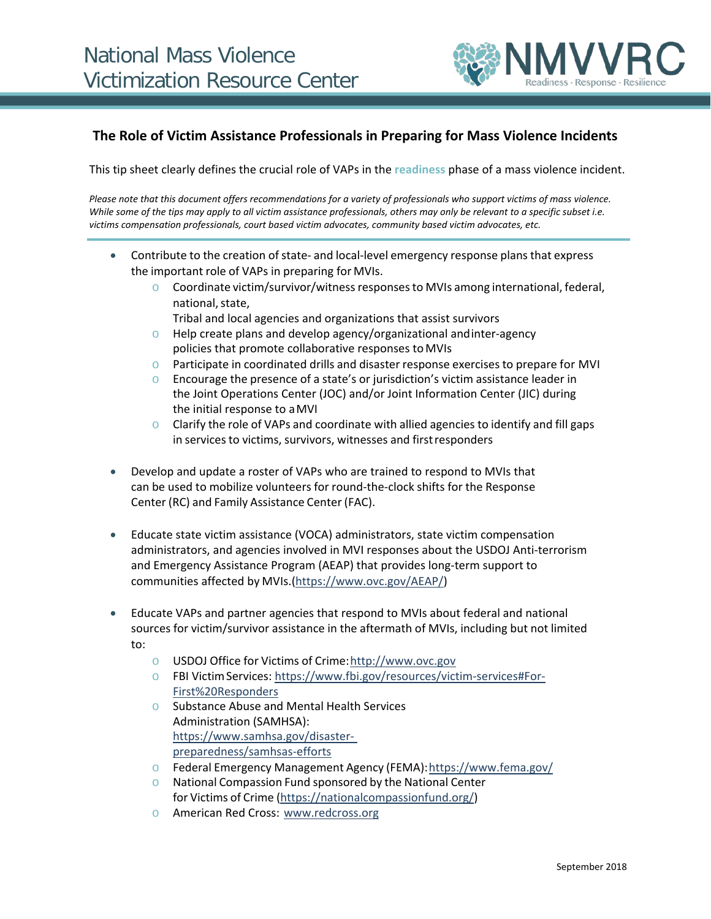

## **The Role of Victim Assistance Professionals in Preparing for Mass Violence Incidents**

This tip sheet clearly defines the crucial role of VAPs in the **readiness** phase of a mass violence incident.

*Please note that this document offers recommendations for a variety of professionals who support victims of mass violence. While some of the tips may apply to all victim assistance professionals, others may only be relevant to a specific subset i.e. victims compensation professionals, court based victim advocates, community based victim advocates, etc.*

- Contribute to the creation of state- and local-level emergency response plans that express the important role of VAPs in preparing for MVIs.
	- $\circ$  Coordinate victim/survivor/witness responses to MVIs among international, federal, national, state.
		- Tribal and local agencies and organizations that assist survivors
	- $\circ$  Help create plans and develop agency/organizational and inter-agency policies that promote collaborative responses toMVIs
	- o Participate in coordinated drills and disaster response exercises to prepare for MVI
	- Encourage the presence of a state's or jurisdiction's victim assistance leader in the Joint Operations Center (JOC) and/or Joint Information Center (JIC) during the initial response to aMVI
	- $\circ$  Clarify the role of VAPs and coordinate with allied agencies to identify and fill gaps in services to victims, survivors, witnesses and first responders
- Develop and update a roster of VAPs who are trained to respond to MVIs that can be used to mobilize volunteers for round-the-clock shifts for the Response Center (RC) and Family Assistance Center (FAC).
- Educate state victim assistance (VOCA) administrators, state victim compensation administrators, and agencies involved in MVI responses about the USDOJ Anti-terrorism and Emergency Assistance Program (AEAP) that provides long-term support to communities affected by MVIs.[\(https://www.ovc.gov/AEAP/\)](https://www.ovc.gov/AEAP/)
- Educate VAPs and partner agencies that respond to MVIs about federal and national sources for victim/survivor assistance in the aftermath of MVIs, including but not limited to:
	- o USDOJ Office for Victims of Crime[:http://www.ovc.gov](http://www.ovc.gov/)
	- o FBI VictimServices: [https://www.fbi.gov/resources/victim-services#For-](https://www.fbi.gov/resources/victim-services#For-First%20Responders)[First%20Responders](https://www.fbi.gov/resources/victim-services#For-First%20Responders)
	- o Substance Abuse and Mental Health Services Administration (SAMHSA): [https://www.samhsa.gov/disaster](https://www.samhsa.gov/disaster-preparedness/samhsas-efforts)[preparedness/samhsas-efforts](https://www.samhsa.gov/disaster-preparedness/samhsas-efforts)
	- o Federal Emergency Management Agency (FEMA)[:https://www.fema.gov/](https://www.fema.gov/)
	- National Compassion Fund sponsored by the National Center for Victims of Crime [\(https://nationalcompassionfund.org/\)](https://nationalcompassionfund.org/)
	- o American Red Cross: [www.redcross.org](http://www.redcross.org/)